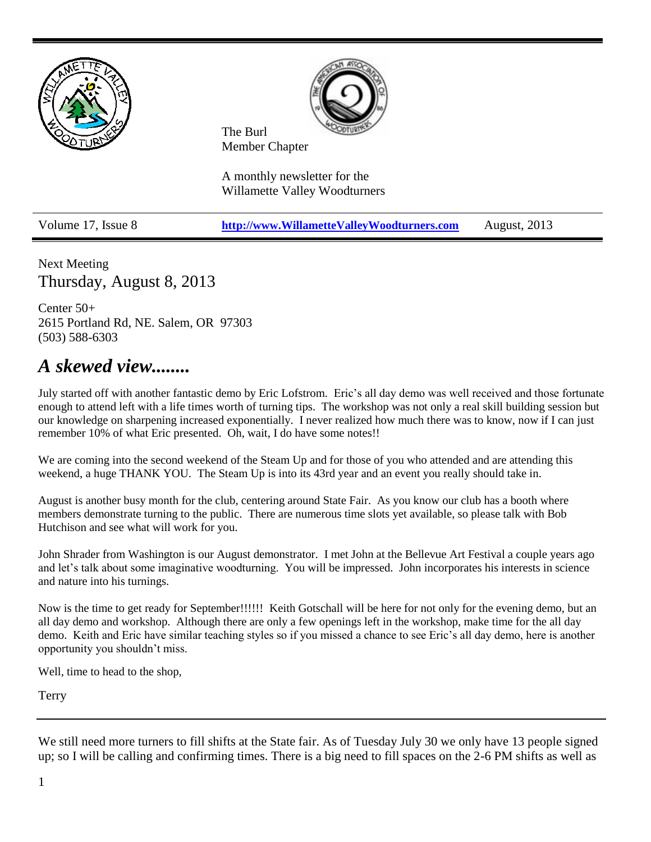

Next Meeting Thursday, August 8, 2013

Center 50+ 2615 Portland Rd, NE. Salem, OR 97303 (503) 588-6303

### *A skewed view........*

July started off with another fantastic demo by Eric Lofstrom. Eric's all day demo was well received and those fortunate enough to attend left with a life times worth of turning tips. The workshop was not only a real skill building session but our knowledge on sharpening increased exponentially. I never realized how much there was to know, now if I can just remember 10% of what Eric presented. Oh, wait, I do have some notes!!

We are coming into the second weekend of the Steam Up and for those of you who attended and are attending this weekend, a huge THANK YOU. The Steam Up is into its 43rd year and an event you really should take in.

August is another busy month for the club, centering around State Fair. As you know our club has a booth where members demonstrate turning to the public. There are numerous time slots yet available, so please talk with Bob Hutchison and see what will work for you.

John Shrader from Washington is our August demonstrator. I met John at the Bellevue Art Festival a couple years ago and let's talk about some imaginative woodturning. You will be impressed. John incorporates his interests in science and nature into his turnings.

Now is the time to get ready for September!!!!!! Keith Gotschall will be here for not only for the evening demo, but an all day demo and workshop. Although there are only a few openings left in the workshop, make time for the all day demo. Keith and Eric have similar teaching styles so if you missed a chance to see Eric's all day demo, here is another opportunity you shouldn't miss.

Well, time to head to the shop,

Terry

We still need more turners to fill shifts at the State fair. As of Tuesday July 30 we only have 13 people signed up; so I will be calling and confirming times. There is a big need to fill spaces on the 2-6 PM shifts as well as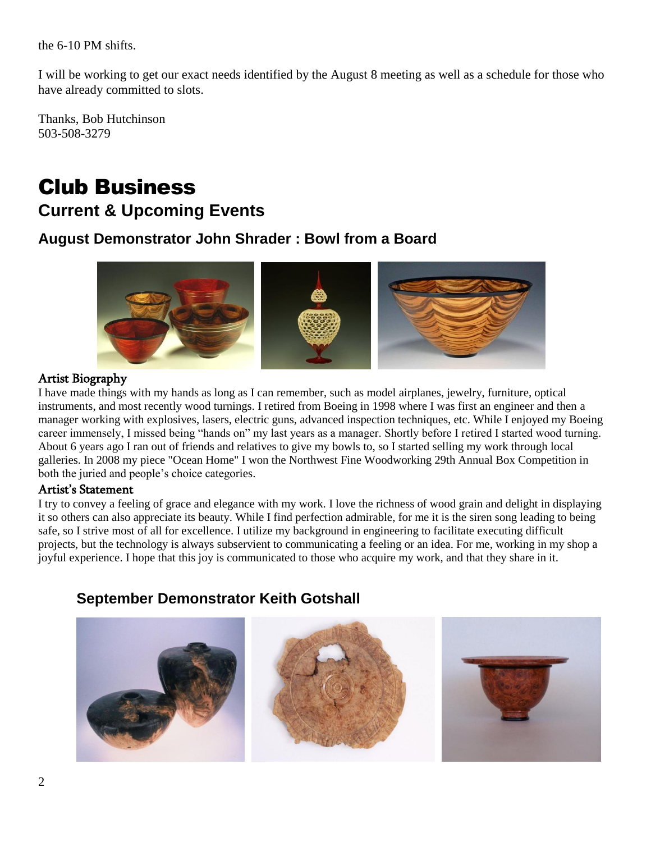the 6-10 PM shifts.

I will be working to get our exact needs identified by the August 8 meeting as well as a schedule for those who have already committed to slots.

Thanks, Bob Hutchinson 503-508-3279

# Club Business

### **Current & Upcoming Events**

### **August Demonstrator John Shrader : Bowl from a Board**



### Artist Biography

I have made things with my hands as long as I can remember, such as model airplanes, jewelry, furniture, optical instruments, and most recently wood turnings. I retired from Boeing in 1998 where I was first an engineer and then a manager working with explosives, lasers, electric guns, advanced inspection techniques, etc. While I enjoyed my Boeing career immensely, I missed being "hands on" my last years as a manager. Shortly before I retired I started wood turning. About 6 years ago I ran out of friends and relatives to give my bowls to, so I started selling my work through local galleries. In 2008 my piece "Ocean Home" I won the Northwest Fine Woodworking 29th Annual Box Competition in both the juried and people's choice categories.

#### Artist's Statement

I try to convey a feeling of grace and elegance with my work. I love the richness of wood grain and delight in displaying it so others can also appreciate its beauty. While I find perfection admirable, for me it is the siren song leading to being safe, so I strive most of all for excellence. I utilize my background in engineering to facilitate executing difficult projects, but the technology is always subservient to communicating a feeling or an idea. For me, working in my shop a joyful experience. I hope that this joy is communicated to those who acquire my work, and that they share in it.

### **September Demonstrator Keith Gotshall**

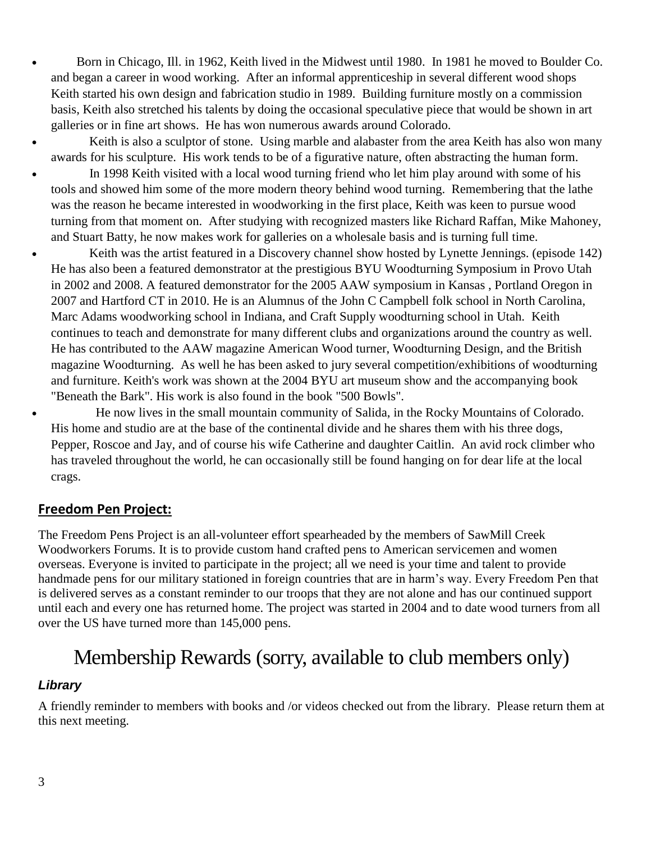- Born in Chicago, Ill. in 1962, Keith lived in the Midwest until 1980. In 1981 he moved to Boulder Co. and began a career in wood working. After an informal apprenticeship in several different wood shops Keith started his own design and fabrication studio in 1989. Building furniture mostly on a commission basis, Keith also stretched his talents by doing the occasional speculative piece that would be shown in art galleries or in fine art shows. He has won numerous awards around Colorado.
- Keith is also a sculptor of stone. Using marble and alabaster from the area Keith has also won many awards for his sculpture. His work tends to be of a figurative nature, often abstracting the human form.
- In 1998 Keith visited with a local wood turning friend who let him play around with some of his tools and showed him some of the more modern theory behind wood turning. Remembering that the lathe was the reason he became interested in woodworking in the first place, Keith was keen to pursue wood turning from that moment on. After studying with recognized masters like Richard Raffan, Mike Mahoney, and Stuart Batty, he now makes work for galleries on a wholesale basis and is turning full time.
- Keith was the artist featured in a Discovery channel show hosted by Lynette Jennings. (episode 142) He has also been a featured demonstrator at the prestigious BYU Woodturning Symposium in Provo Utah in 2002 and 2008. A featured demonstrator for the 2005 AAW symposium in Kansas , Portland Oregon in 2007 and Hartford CT in 2010. He is an Alumnus of the John C Campbell folk school in North Carolina, Marc Adams woodworking school in Indiana, and Craft Supply woodturning school in Utah. Keith continues to teach and demonstrate for many different clubs and organizations around the country as well. He has contributed to the AAW magazine American Wood turner, Woodturning Design, and the British magazine Woodturning. As well he has been asked to jury several competition/exhibitions of woodturning and furniture. Keith's work was shown at the 2004 BYU art museum show and the accompanying book "Beneath the Bark". His work is also found in the book "500 Bowls".
	- He now lives in the small mountain community of Salida, in the Rocky Mountains of Colorado. His home and studio are at the base of the continental divide and he shares them with his three dogs, Pepper, Roscoe and Jay, and of course his wife Catherine and daughter Caitlin. An avid rock climber who has traveled throughout the world, he can occasionally still be found hanging on for dear life at the local crags.

### **Freedom Pen Project:**

The Freedom Pens Project is an all-volunteer effort spearheaded by the members of SawMill Creek Woodworkers Forums. It is to provide custom hand crafted pens to American servicemen and women overseas. Everyone is invited to participate in the project; all we need is your time and talent to provide handmade pens for our military stationed in foreign countries that are in harm's way. Every Freedom Pen that is delivered serves as a constant reminder to our troops that they are not alone and has our continued support until each and every one has returned home. The project was started in 2004 and to date wood turners from all over the US have turned more than 145,000 pens.

## Membership Rewards (sorry, available to club members only)

### *Library*

A friendly reminder to members with books and /or videos checked out from the library. Please return them at this next meeting.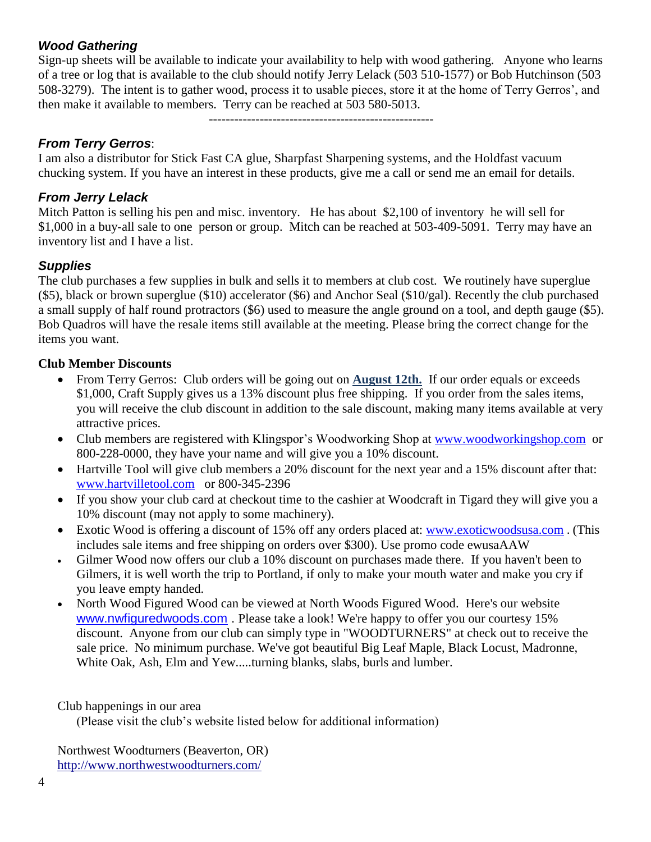### *Wood Gathering*

Sign-up sheets will be available to indicate your availability to help with wood gathering. Anyone who learns of a tree or log that is available to the club should notify Jerry Lelack (503 510-1577) or Bob Hutchinson (503 508-3279). The intent is to gather wood, process it to usable pieces, store it at the home of Terry Gerros', and then make it available to members. Terry can be reached at 503 580-5013.

-----------------------------------------------------

### *From Terry Gerros*:

I am also a distributor for Stick Fast CA glue, Sharpfast Sharpening systems, and the Holdfast vacuum chucking system. If you have an interest in these products, give me a call or send me an email for details.

### *From Jerry Lelack*

Mitch Patton is selling his pen and misc. inventory. He has about \$2,100 of inventory he will sell for \$1,000 in a buy-all sale to one person or group. Mitch can be reached at 503-409-5091. Terry may have an inventory list and I have a list.

### *Supplies*

The club purchases a few supplies in bulk and sells it to members at club cost. We routinely have superglue (\$5), black or brown superglue (\$10) accelerator (\$6) and Anchor Seal (\$10/gal). Recently the club purchased a small supply of half round protractors (\$6) used to measure the angle ground on a tool, and depth gauge (\$5). Bob Quadros will have the resale items still available at the meeting. Please bring the correct change for the items you want.

### **Club Member Discounts**

- From Terry Gerros: Club orders will be going out on **August 12th.** If our order equals or exceeds \$1,000, Craft Supply gives us a 13% discount plus free shipping. If you order from the sales items, you will receive the club discount in addition to the sale discount, making many items available at very attractive prices.
- Club members are registered with Klingspor's Woodworking Shop at [www.woodworkingshop.com](http://www.woodworkingshop.com/) or 800-228-0000, they have your name and will give you a 10% discount.
- Hartville Tool will give club members a 20% discount for the next year and a 15% discount after that: [www.hartvilletool.com](http://www.hartvilletool.com/) or 800-345-2396
- If you show your club card at checkout time to the cashier at Woodcraft in Tigard they will give you a 10% discount (may not apply to some machinery).
- Exotic Wood is offering a discount of 15% off any orders placed at: [www.exoticwoodsusa.com](http://www.exoticwoodsusa.com/) . (This includes sale items and free shipping on orders over \$300). Use promo code ewusaAAW
- Gilmer Wood now offers our club a 10% discount on purchases made there. If you haven't been to Gilmers, it is well worth the trip to Portland, if only to make your mouth water and make you cry if you leave empty handed.
- North Wood Figured Wood can be viewed at North Woods Figured Wood. Here's our website [www.nwfiguredwoods.com](http://www.nwfiguredwoods.com/) . Please take a look! We're happy to offer you our courtesy 15% discount. Anyone from our club can simply type in "WOODTURNERS" at check out to receive the sale price. No minimum purchase. We've got beautiful Big Leaf Maple, Black Locust, Madronne, White Oak, Ash, Elm and Yew.....turning blanks, slabs, burls and lumber.

### Club happenings in our area

(Please visit the club's website listed below for additional information)

Northwest Woodturners (Beaverton, OR) <http://www.northwestwoodturners.com/>